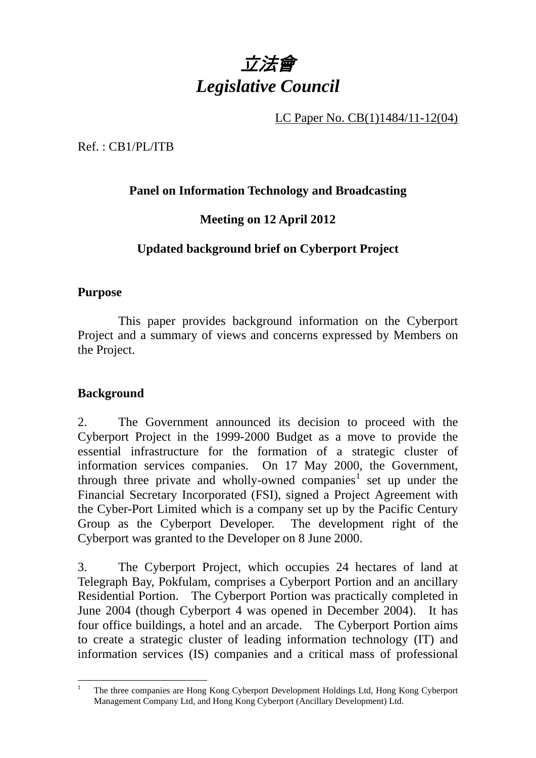

LC Paper No. CB(1)1484/11-12(04)

Ref. : CB1/PL/ITB

## **Panel on Information Technology and Broadcasting**

# **Meeting on 12 April 2012**

# **Updated background brief on Cyberport Project**

## **Purpose**

 This paper provides background information on the Cyberport Project and a summary of views and concerns expressed by Members on the Project.

## **Background**

2.. The Government announced its decision to proceed with the Cyberport Project in the 1999-2000 Budget as a move to provide the essential infrastructure for the formation of a strategic cluster of information services companies. On 17 May 2000, the Government, through three private and wholly-owned companies<sup>1</sup> set up under the Financial Secretary Incorporated (FSI), signed a Project Agreement with the Cyber-Port Limited which is a company set up by the Pacific Century Group as the Cyberport Developer. The development right of the Cyberport was granted to the Developer on 8 June 2000.

3. The Cyberport Project, which occupies 24 hectares of land at Telegraph Bay, Pokfulam, comprises a Cyberport Portion and an ancillary Residential Portion. The Cyberport Portion was practically completed in June 2004 (though Cyberport 4 was opened in December 2004). It has four office buildings, a hotel and an arcade. The Cyberport Portion aims to create a strategic cluster of leading information technology (IT) and information services (IS) companies and a critical mass of professional

 $\overline{a}$ 1 The three companies are Hong Kong Cyberport Development Holdings Ltd, Hong Kong Cyberport Management Company Ltd, and Hong Kong Cyberport (Ancillary Development) Ltd.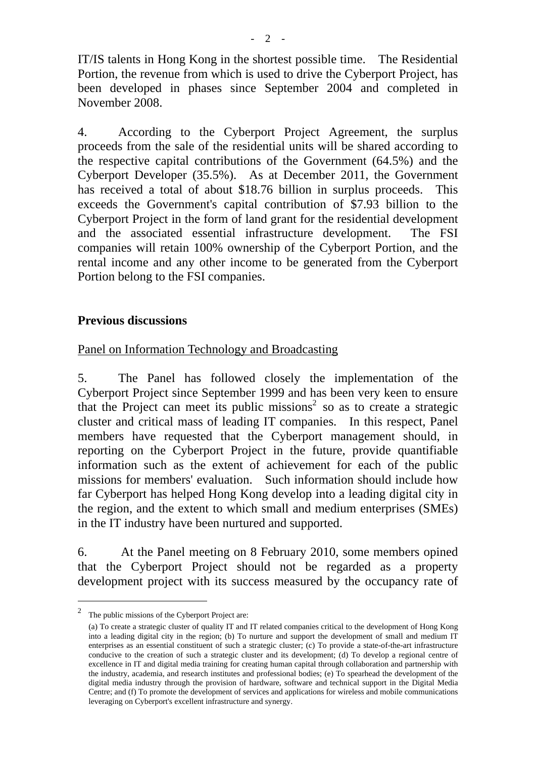IT/IS talents in Hong Kong in the shortest possible time. The Residential Portion, the revenue from which is used to drive the Cyberport Project, has been developed in phases since September 2004 and completed in November 2008.

4. According to the Cyberport Project Agreement, the surplus proceeds from the sale of the residential units will be shared according to the respective capital contributions of the Government (64.5%) and the Cyberport Developer (35.5%). As at December 2011, the Government has received a total of about \$18.76 billion in surplus proceeds. This exceeds the Government's capital contribution of \$7.93 billion to the Cyberport Project in the form of land grant for the residential development and the associated essential infrastructure development. The FSI companies will retain 100% ownership of the Cyberport Portion, and the rental income and any other income to be generated from the Cyberport Portion belong to the FSI companies.

#### **Previous discussions**

## Panel on Information Technology and Broadcasting

5. The Panel has followed closely the implementation of the Cyberport Project since September 1999 and has been very keen to ensure that the Project can meet its public missions<sup>2</sup> so as to create a strategic cluster and critical mass of leading IT companies. In this respect, Panel members have requested that the Cyberport management should, in reporting on the Cyberport Project in the future, provide quantifiable information such as the extent of achievement for each of the public missions for members' evaluation. Such information should include how far Cyberport has helped Hong Kong develop into a leading digital city in the region, and the extent to which small and medium enterprises (SMEs) in the IT industry have been nurtured and supported.

6. At the Panel meeting on 8 February 2010, some members opined that the Cyberport Project should not be regarded as a property development project with its success measured by the occupancy rate of

 $\overline{a}$ 

<sup>2</sup> The public missions of the Cyberport Project are:

<sup>(</sup>a) To create a strategic cluster of quality IT and IT related companies critical to the development of Hong Kong into a leading digital city in the region; (b) To nurture and support the development of small and medium IT enterprises as an essential constituent of such a strategic cluster; (c) To provide a state-of-the-art infrastructure conducive to the creation of such a strategic cluster and its development; (d) To develop a regional centre of excellence in IT and digital media training for creating human capital through collaboration and partnership with the industry, academia, and research institutes and professional bodies; (e) To spearhead the development of the digital media industry through the provision of hardware, software and technical support in the Digital Media Centre; and (f) To promote the development of services and applications for wireless and mobile communications leveraging on Cyberport's excellent infrastructure and synergy.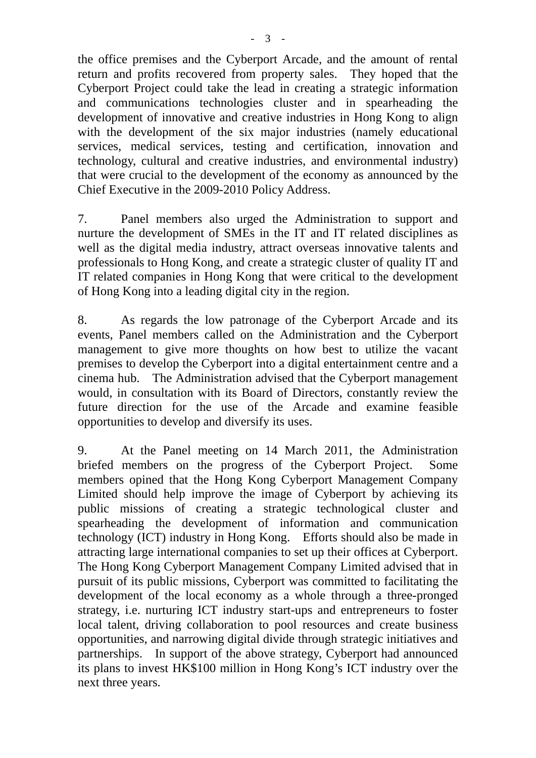the office premises and the Cyberport Arcade, and the amount of rental return and profits recovered from property sales. They hoped that the Cyberport Project could take the lead in creating a strategic information and communications technologies cluster and in spearheading the development of innovative and creative industries in Hong Kong to align with the development of the six major industries (namely educational services, medical services, testing and certification, innovation and technology, cultural and creative industries, and environmental industry) that were crucial to the development of the economy as announced by the Chief Executive in the 2009-2010 Policy Address.

7. Panel members also urged the Administration to support and nurture the development of SMEs in the IT and IT related disciplines as well as the digital media industry, attract overseas innovative talents and professionals to Hong Kong, and create a strategic cluster of quality IT and IT related companies in Hong Kong that were critical to the development of Hong Kong into a leading digital city in the region.

8. As regards the low patronage of the Cyberport Arcade and its events, Panel members called on the Administration and the Cyberport management to give more thoughts on how best to utilize the vacant premises to develop the Cyberport into a digital entertainment centre and a cinema hub. The Administration advised that the Cyberport management would, in consultation with its Board of Directors, constantly review the future direction for the use of the Arcade and examine feasible opportunities to develop and diversify its uses.

9. At the Panel meeting on 14 March 2011, the Administration briefed members on the progress of the Cyberport Project. Some members opined that the Hong Kong Cyberport Management Company Limited should help improve the image of Cyberport by achieving its public missions of creating a strategic technological cluster and spearheading the development of information and communication technology (ICT) industry in Hong Kong. Efforts should also be made in attracting large international companies to set up their offices at Cyberport. The Hong Kong Cyberport Management Company Limited advised that in pursuit of its public missions, Cyberport was committed to facilitating the development of the local economy as a whole through a three-pronged strategy, i.e. nurturing ICT industry start-ups and entrepreneurs to foster local talent, driving collaboration to pool resources and create business opportunities, and narrowing digital divide through strategic initiatives and partnerships. In support of the above strategy, Cyberport had announced its plans to invest HK\$100 million in Hong Kong's ICT industry over the next three years.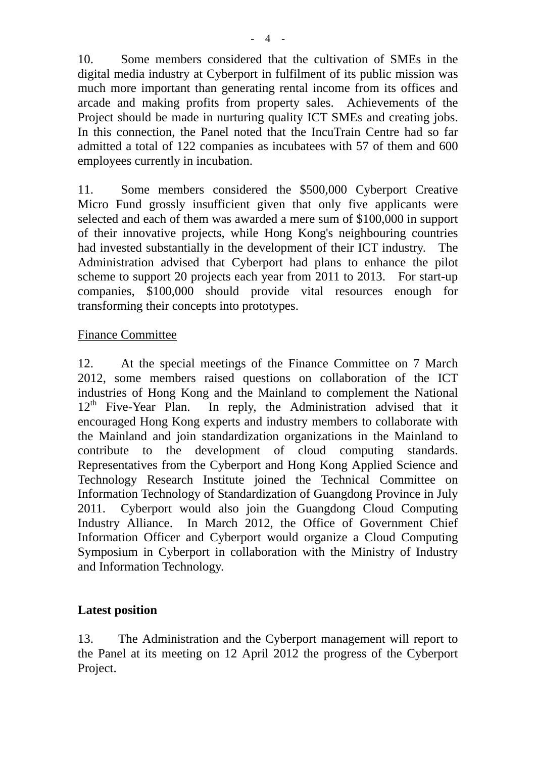10. Some members considered that the cultivation of SMEs in the digital media industry at Cyberport in fulfilment of its public mission was much more important than generating rental income from its offices and arcade and making profits from property sales. Achievements of the Project should be made in nurturing quality ICT SMEs and creating jobs. In this connection, the Panel noted that the IncuTrain Centre had so far admitted a total of 122 companies as incubatees with 57 of them and 600 employees currently in incubation.

11. Some members considered the \$500,000 Cyberport Creative Micro Fund grossly insufficient given that only five applicants were selected and each of them was awarded a mere sum of \$100,000 in support of their innovative projects, while Hong Kong's neighbouring countries had invested substantially in the development of their ICT industry. The Administration advised that Cyberport had plans to enhance the pilot scheme to support 20 projects each year from 2011 to 2013. For start-up companies, \$100,000 should provide vital resources enough for transforming their concepts into prototypes.

#### Finance Committee

12. At the special meetings of the Finance Committee on 7 March 2012, some members raised questions on collaboration of the ICT industries of Hong Kong and the Mainland to complement the National  $12<sup>th</sup>$  Five-Year Plan. In reply, the Administration advised that it encouraged Hong Kong experts and industry members to collaborate with the Mainland and join standardization organizations in the Mainland to contribute to the development of cloud computing standards. Representatives from the Cyberport and Hong Kong Applied Science and Technology Research Institute joined the Technical Committee on Information Technology of Standardization of Guangdong Province in July 2011. Cyberport would also join the Guangdong Cloud Computing Industry Alliance. In March 2012, the Office of Government Chief Information Officer and Cyberport would organize a Cloud Computing Symposium in Cyberport in collaboration with the Ministry of Industry and Information Technology.

#### **Latest position**

13. The Administration and the Cyberport management will report to the Panel at its meeting on 12 April 2012 the progress of the Cyberport Project.